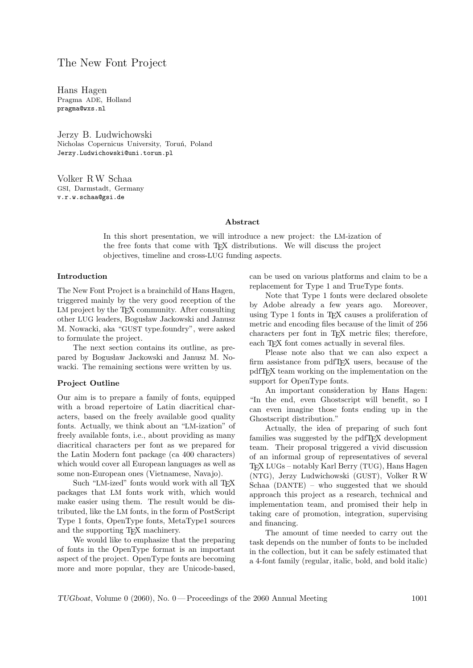# The New Font Project

Hans Hagen Pragma ADE, Holland pragma@wxs.nl

Jerzy B. Ludwichowski Nicholas Copernicus University, Toruń, Poland Jerzy.Ludwichowski@uni.torun.pl

Volker RW Schaa GSI, Darmstadt, Germany v.r.w.schaa@gsi.de

### Abstract

In this short presentation, we will introduce a new project: the LM-ization of the free fonts that come with TEX distributions. We will discuss the project objectives, timeline and cross-LUG funding aspects.

### Introduction

The New Font Project is a brainchild of Hans Hagen, triggered mainly by the very good reception of the LM project by the T<sub>EX</sub> community. After consulting other LUG leaders, Bogusław Jackowski and Janusz M. Nowacki, aka "GUST type.foundry", were asked to formulate the project.

The next section contains its outline, as prepared by Bogusław Jackowski and Janusz M. Nowacki. The remaining sections were written by us.

#### Project Outline

Our aim is to prepare a family of fonts, equipped with a broad repertoire of Latin diacritical characters, based on the freely available good quality fonts. Actually, we think about an "LM-ization" of freely available fonts, i.e., about providing as many diacritical characters per font as we prepared for the Latin Modern font package (ca 400 characters) which would cover all European languages as well as some non-European ones (Vietnamese, Navajo).

Such "LM-ized" fonts would work with all TFX packages that LM fonts work with, which would make easier using them. The result would be distributed, like the LM fonts, in the form of PostScript Type 1 fonts, OpenType fonts, MetaType1 sources and the supporting TEX machinery.

We would like to emphasize that the preparing of fonts in the OpenType format is an important aspect of the project. OpenType fonts are becoming more and more popular, they are Unicode-based,

can be used on various platforms and claim to be a replacement for Type 1 and TrueType fonts.

Note that Type 1 fonts were declared obsolete by Adobe already a few years ago. Moreover, using Type 1 fonts in TEX causes a proliferation of metric and encoding files because of the limit of 256 characters per font in TEX metric files; therefore, each T<sub>F</sub>X font comes actually in several files.

Please note also that we can also expect a firm assistance from pdfTEX users, because of the pdfTEX team working on the implementation on the support for OpenType fonts.

An important consideration by Hans Hagen: "In the end, even Ghostscript will benefit, so I can even imagine those fonts ending up in the Ghostscript distribution."

Actually, the idea of preparing of such font families was suggested by the pdfT<sub>EX</sub> development team. Their proposal triggered a vivid discussion of an informal group of representatives of several TEX LUGs – notably Karl Berry (TUG), Hans Hagen (NTG), Jerzy Ludwichowski (GUST), Volker RW Schaa (DANTE) – who suggested that we should approach this project as a research, technical and implementation team, and promised their help in taking care of promotion, integration, supervising and financing.

The amount of time needed to carry out the task depends on the number of fonts to be included in the collection, but it can be safely estimated that a 4-font family (regular, italic, bold, and bold italic)